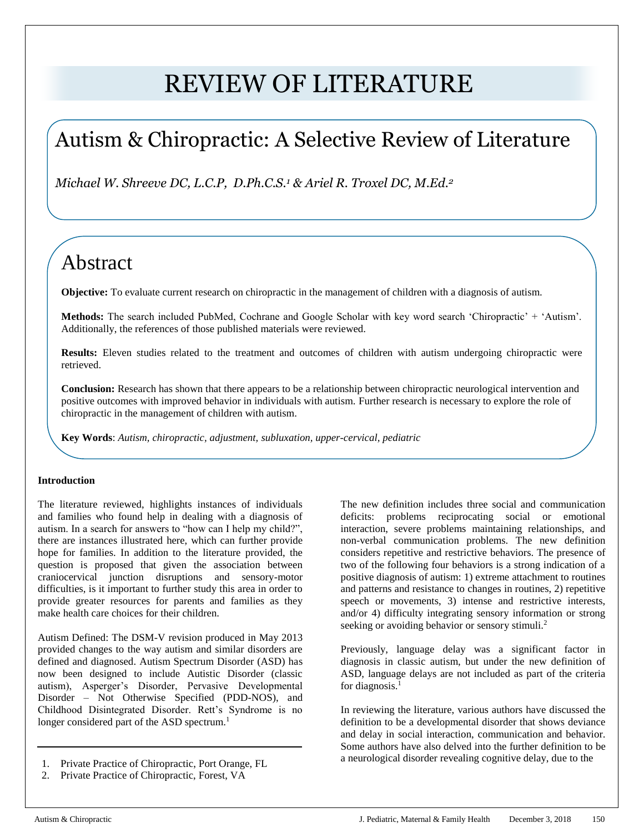# REVIEW OF LITERATURE

## Autism & Chiropractic: A Selective Review of Literature

*Michael W. Shreeve DC, L.C.P, D.Ph.C.S.<sup>1</sup> & Ariel R. Troxel DC, M.Ed.<sup>2</sup>*

### Abstract

**Objective:** To evaluate current research on chiropractic in the management of children with a diagnosis of autism.

**Methods:** The search included PubMed, Cochrane and Google Scholar with key word search 'Chiropractic' + 'Autism'. Additionally, the references of those published materials were reviewed.

**Results:** Eleven studies related to the treatment and outcomes of children with autism undergoing chiropractic were retrieved.

**Conclusion:** Research has shown that there appears to be a relationship between chiropractic neurological intervention and positive outcomes with improved behavior in individuals with autism. Further research is necessary to explore the role of chiropractic in the management of children with autism.

**Key Words**: *Autism, chiropractic, adjustment, subluxation, upper-cervical, pediatric*

#### **Introduction**

The literature reviewed, highlights instances of individuals and families who found help in dealing with a diagnosis of autism. In a search for answers to "how can I help my child?", there are instances illustrated here, which can further provide hope for families. In addition to the literature provided, the question is proposed that given the association between craniocervical junction disruptions and sensory-motor difficulties, is it important to further study this area in order to provide greater resources for parents and families as they make health care choices for their children.

Autism Defined: The DSM-V revision produced in May 2013 provided changes to the way autism and similar disorders are defined and diagnosed. Autism Spectrum Disorder (ASD) has now been designed to include Autistic Disorder (classic autism), Asperger's Disorder, Pervasive Developmental Disorder – Not Otherwise Specified (PDD-NOS), and Childhood Disintegrated Disorder. Rett's Syndrome is no longer considered part of the ASD spectrum.<sup>1</sup>

- 1. Private Practice of Chiropractic, Port Orange, FL
- 2. Private Practice of Chiropractic, Forest, VA

The new definition includes three social and communication deficits: problems reciprocating social or emotional interaction, severe problems maintaining relationships, and non-verbal communication problems. The new definition considers repetitive and restrictive behaviors. The presence of two of the following four behaviors is a strong indication of a positive diagnosis of autism: 1) extreme attachment to routines and patterns and resistance to changes in routines, 2) repetitive speech or movements, 3) intense and restrictive interests, and/or 4) difficulty integrating sensory information or strong seeking or avoiding behavior or sensory stimuli.<sup>2</sup>

Previously, language delay was a significant factor in diagnosis in classic autism, but under the new definition of ASD, language delays are not included as part of the criteria for diagnosis.<sup>1</sup>

In reviewing the literature, various authors have discussed the definition to be a developmental disorder that shows deviance and delay in social interaction, communication and behavior. Some authors have also delved into the further definition to be a neurological disorder revealing cognitive delay, due to the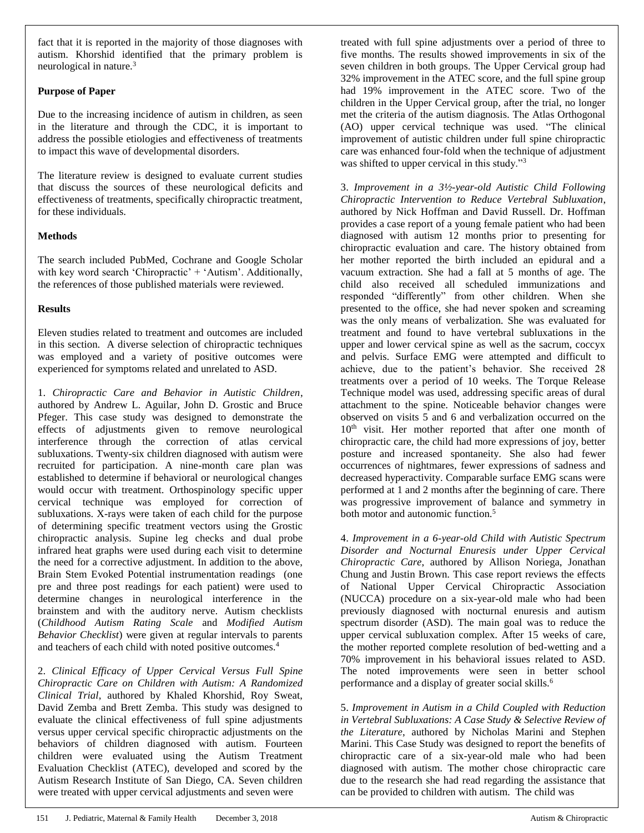fact that it is reported in the majority of those diagnoses with autism. Khorshid identified that the primary problem is neurological in nature.<sup>3</sup>

#### **Purpose of Paper**

Due to the increasing incidence of autism in children, as seen in the literature and through the CDC, it is important to address the possible etiologies and effectiveness of treatments to impact this wave of developmental disorders.

The literature review is designed to evaluate current studies that discuss the sources of these neurological deficits and effectiveness of treatments, specifically chiropractic treatment, for these individuals.

#### **Methods**

The search included PubMed, Cochrane and Google Scholar with key word search 'Chiropractic' + 'Autism'. Additionally, the references of those published materials were reviewed.

#### **Results**

Eleven studies related to treatment and outcomes are included in this section. A diverse selection of chiropractic techniques was employed and a variety of positive outcomes were experienced for symptoms related and unrelated to ASD.

1. *Chiropractic Care and Behavior in Autistic Children*, authored by Andrew L. Aguilar, John D. Grostic and Bruce Pfeger. This case study was designed to demonstrate the effects of adjustments given to remove neurological interference through the correction of atlas cervical subluxations. Twenty-six children diagnosed with autism were recruited for participation. A nine-month care plan was established to determine if behavioral or neurological changes would occur with treatment. Orthospinology specific upper cervical technique was employed for correction of subluxations. X-rays were taken of each child for the purpose of determining specific treatment vectors using the Grostic chiropractic analysis. Supine leg checks and dual probe infrared heat graphs were used during each visit to determine the need for a corrective adjustment. In addition to the above, Brain Stem Evoked Potential instrumentation readings (one pre and three post readings for each patient) were used to determine changes in neurological interference in the brainstem and with the auditory nerve. Autism checklists (*Childhood Autism Rating Scale* and *Modified Autism Behavior Checklist*) were given at regular intervals to parents and teachers of each child with noted positive outcomes.<sup>4</sup>

2. *Clinical Efficacy of Upper Cervical Versus Full Spine Chiropractic Care on Children with Autism: A Randomized Clinical Trial*, authored by Khaled Khorshid, Roy Sweat, David Zemba and Brett Zemba. This study was designed to evaluate the clinical effectiveness of full spine adjustments versus upper cervical specific chiropractic adjustments on the behaviors of children diagnosed with autism. Fourteen children were evaluated using the Autism Treatment Evaluation Checklist (ATEC), developed and scored by the Autism Research Institute of San Diego, CA. Seven children were treated with upper cervical adjustments and seven were

treated with full spine adjustments over a period of three to five months. The results showed improvements in six of the seven children in both groups. The Upper Cervical group had 32% improvement in the ATEC score, and the full spine group had 19% improvement in the ATEC score. Two of the children in the Upper Cervical group, after the trial, no longer met the criteria of the autism diagnosis. The Atlas Orthogonal (AO) upper cervical technique was used. "The clinical improvement of autistic children under full spine chiropractic care was enhanced four-fold when the technique of adjustment was shifted to upper cervical in this study."<sup>3</sup>

3. *Improvement in a 3½-year-old Autistic Child Following Chiropractic Intervention to Reduce Vertebral Subluxation*, authored by Nick Hoffman and David Russell. Dr. Hoffman provides a case report of a young female patient who had been diagnosed with autism 12 months prior to presenting for chiropractic evaluation and care. The history obtained from her mother reported the birth included an epidural and a vacuum extraction. She had a fall at 5 months of age. The child also received all scheduled immunizations and responded "differently" from other children. When she presented to the office, she had never spoken and screaming was the only means of verbalization. She was evaluated for treatment and found to have vertebral subluxations in the upper and lower cervical spine as well as the sacrum, coccyx and pelvis. Surface EMG were attempted and difficult to achieve, due to the patient's behavior. She received 28 treatments over a period of 10 weeks. The Torque Release Technique model was used, addressing specific areas of dural attachment to the spine. Noticeable behavior changes were observed on visits 5 and 6 and verbalization occurred on the 10<sup>th</sup> visit. Her mother reported that after one month of chiropractic care, the child had more expressions of joy, better posture and increased spontaneity. She also had fewer occurrences of nightmares, fewer expressions of sadness and decreased hyperactivity. Comparable surface EMG scans were performed at 1 and 2 months after the beginning of care. There was progressive improvement of balance and symmetry in both motor and autonomic function.<sup>5</sup>

4. *Improvement in a 6-year-old Child with Autistic Spectrum Disorder and Nocturnal Enuresis under Upper Cervical Chiropractic Care*, authored by Allison Noriega, Jonathan Chung and Justin Brown. This case report reviews the effects of National Upper Cervical Chiropractic Association (NUCCA) procedure on a six-year-old male who had been previously diagnosed with nocturnal enuresis and autism spectrum disorder (ASD). The main goal was to reduce the upper cervical subluxation complex. After 15 weeks of care, the mother reported complete resolution of bed-wetting and a 70% improvement in his behavioral issues related to ASD. The noted improvements were seen in better school performance and a display of greater social skills.<sup>6</sup>

5. *Improvement in Autism in a Child Coupled with Reduction in Vertebral Subluxations: A Case Study & Selective Review of the Literature*, authored by Nicholas Marini and Stephen Marini. This Case Study was designed to report the benefits of chiropractic care of a six-year-old male who had been diagnosed with autism. The mother chose chiropractic care due to the research she had read regarding the assistance that can be provided to children with autism. The child was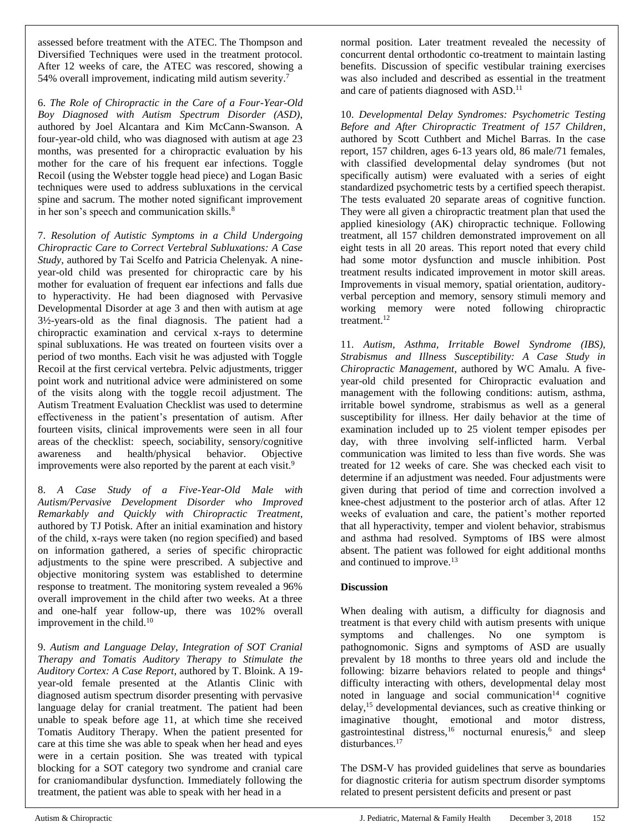assessed before treatment with the ATEC. The Thompson and Diversified Techniques were used in the treatment protocol. After 12 weeks of care, the ATEC was rescored, showing a 54% overall improvement, indicating mild autism severity.<sup>7</sup>

6. *The Role of Chiropractic in the Care of a Four-Year-Old Boy Diagnosed with Autism Spectrum Disorder (ASD)*, authored by Joel Alcantara and Kim McCann-Swanson. A four-year-old child, who was diagnosed with autism at age 23 months, was presented for a chiropractic evaluation by his mother for the care of his frequent ear infections. Toggle Recoil (using the Webster toggle head piece) and Logan Basic techniques were used to address subluxations in the cervical spine and sacrum. The mother noted significant improvement in her son's speech and communication skills.<sup>8</sup>

7. *Resolution of Autistic Symptoms in a Child Undergoing Chiropractic Care to Correct Vertebral Subluxations: A Case Study*, authored by Tai Scelfo and Patricia Chelenyak. A nineyear-old child was presented for chiropractic care by his mother for evaluation of frequent ear infections and falls due to hyperactivity. He had been diagnosed with Pervasive Developmental Disorder at age 3 and then with autism at age 3½-years-old as the final diagnosis. The patient had a chiropractic examination and cervical x-rays to determine spinal subluxations. He was treated on fourteen visits over a period of two months. Each visit he was adjusted with Toggle Recoil at the first cervical vertebra. Pelvic adjustments, trigger point work and nutritional advice were administered on some of the visits along with the toggle recoil adjustment. The Autism Treatment Evaluation Checklist was used to determine effectiveness in the patient's presentation of autism. After fourteen visits, clinical improvements were seen in all four areas of the checklist: speech, sociability, sensory/cognitive awareness and health/physical behavior. Objective improvements were also reported by the parent at each visit.<sup>9</sup>

8. *A Case Study of a Five-Year-Old Male with Autism/Pervasive Development Disorder who Improved Remarkably and Quickly with Chiropractic Treatment*, authored by TJ Potisk. After an initial examination and history of the child, x-rays were taken (no region specified) and based on information gathered, a series of specific chiropractic adjustments to the spine were prescribed. A subjective and objective monitoring system was established to determine response to treatment. The monitoring system revealed a 96% overall improvement in the child after two weeks. At a three and one-half year follow-up, there was 102% overall improvement in the child. $10$ 

9. *Autism and Language Delay, Integration of SOT Cranial Therapy and Tomatis Auditory Therapy to Stimulate the Auditory Cortex: A Case Report*, authored by T. Bloink. A 19 year-old female presented at the Atlantis Clinic with diagnosed autism spectrum disorder presenting with pervasive language delay for cranial treatment. The patient had been unable to speak before age 11, at which time she received Tomatis Auditory Therapy. When the patient presented for care at this time she was able to speak when her head and eyes were in a certain position. She was treated with typical blocking for a SOT category two syndrome and cranial care for craniomandibular dysfunction. Immediately following the treatment, the patient was able to speak with her head in a

normal position. Later treatment revealed the necessity of concurrent dental orthodontic co-treatment to maintain lasting benefits. Discussion of specific vestibular training exercises was also included and described as essential in the treatment and care of patients diagnosed with ASD.<sup>11</sup>

10. *Developmental Delay Syndromes: Psychometric Testing Before and After Chiropractic Treatment of 157 Children*, authored by Scott Cuthbert and Michel Barras. In the case report, 157 children, ages 6-13 years old, 86 male/71 females, with classified developmental delay syndromes (but not specifically autism) were evaluated with a series of eight standardized psychometric tests by a certified speech therapist. The tests evaluated 20 separate areas of cognitive function. They were all given a chiropractic treatment plan that used the applied kinesiology (AK) chiropractic technique. Following treatment, all 157 children demonstrated improvement on all eight tests in all 20 areas. This report noted that every child had some motor dysfunction and muscle inhibition. Post treatment results indicated improvement in motor skill areas. Improvements in visual memory, spatial orientation, auditoryverbal perception and memory, sensory stimuli memory and working memory were noted following chiropractic treatment.<sup>12</sup>

11. *Autism, Asthma, Irritable Bowel Syndrome (IBS), Strabismus and Illness Susceptibility: A Case Study in Chiropractic Management*, authored by WC Amalu. A fiveyear-old child presented for Chiropractic evaluation and management with the following conditions: autism, asthma, irritable bowel syndrome, strabismus as well as a general susceptibility for illness. Her daily behavior at the time of examination included up to 25 violent temper episodes per day, with three involving self-inflicted harm. Verbal communication was limited to less than five words. She was treated for 12 weeks of care. She was checked each visit to determine if an adjustment was needed. Four adjustments were given during that period of time and correction involved a knee-chest adjustment to the posterior arch of atlas. After 12 weeks of evaluation and care, the patient's mother reported that all hyperactivity, temper and violent behavior, strabismus and asthma had resolved. Symptoms of IBS were almost absent. The patient was followed for eight additional months and continued to improve.<sup>13</sup>

#### **Discussion**

When dealing with autism, a difficulty for diagnosis and treatment is that every child with autism presents with unique symptoms and challenges. No one symptom is pathognomonic. Signs and symptoms of ASD are usually prevalent by 18 months to three years old and include the following: bizarre behaviors related to people and things<sup>4</sup> difficulty interacting with others, developmental delay most noted in language and social communication $14$  cognitive delay,<sup>15</sup> developmental deviances, such as creative thinking or imaginative thought, emotional and motor distress, gastrointestinal distress,<sup>16</sup> nocturnal enuresis,<sup>6</sup> and sleep disturbances.<sup>17</sup>

The DSM-V has provided guidelines that serve as boundaries for diagnostic criteria for autism spectrum disorder symptoms related to present persistent deficits and present or past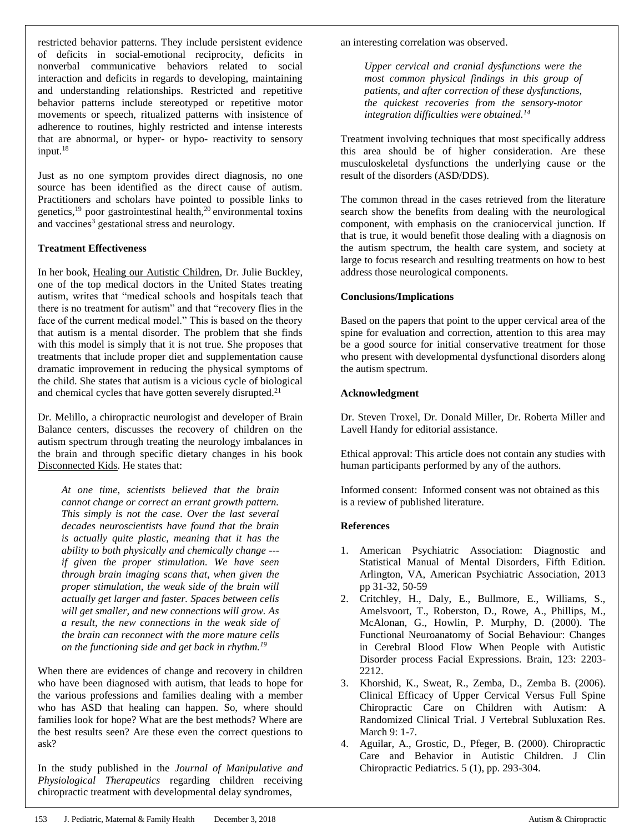restricted behavior patterns. They include persistent evidence of deficits in social-emotional reciprocity, deficits in nonverbal communicative behaviors related to social interaction and deficits in regards to developing, maintaining and understanding relationships. Restricted and repetitive behavior patterns include stereotyped or repetitive motor movements or speech, ritualized patterns with insistence of adherence to routines, highly restricted and intense interests that are abnormal, or hyper- or hypo- reactivity to sensory input.<sup>18</sup>

Just as no one symptom provides direct diagnosis, no one source has been identified as the direct cause of autism. Practitioners and scholars have pointed to possible links to genetics,<sup>19</sup> poor gastrointestinal health,<sup>20</sup> environmental toxins and vaccines<sup>3</sup> gestational stress and neurology.

#### **Treatment Effectiveness**

In her book, Healing our Autistic Children, Dr. Julie Buckley, one of the top medical doctors in the United States treating autism, writes that "medical schools and hospitals teach that there is no treatment for autism" and that "recovery flies in the face of the current medical model." This is based on the theory that autism is a mental disorder. The problem that she finds with this model is simply that it is not true. She proposes that treatments that include proper diet and supplementation cause dramatic improvement in reducing the physical symptoms of the child. She states that autism is a vicious cycle of biological and chemical cycles that have gotten severely disrupted.<sup>21</sup>

Dr. Melillo, a chiropractic neurologist and developer of Brain Balance centers, discusses the recovery of children on the autism spectrum through treating the neurology imbalances in the brain and through specific dietary changes in his book Disconnected Kids. He states that:

*At one time, scientists believed that the brain cannot change or correct an errant growth pattern. This simply is not the case. Over the last several decades neuroscientists have found that the brain is actually quite plastic, meaning that it has the ability to both physically and chemically change -- if given the proper stimulation. We have seen through brain imaging scans that, when given the proper stimulation, the weak side of the brain will actually get larger and faster. Spaces between cells will get smaller, and new connections will grow. As a result, the new connections in the weak side of the brain can reconnect with the more mature cells on the functioning side and get back in rhythm.<sup>19</sup>*

When there are evidences of change and recovery in children who have been diagnosed with autism, that leads to hope for the various professions and families dealing with a member who has ASD that healing can happen. So, where should families look for hope? What are the best methods? Where are the best results seen? Are these even the correct questions to ask?

In the study published in the *Journal of Manipulative and Physiological Therapeutics* regarding children receiving chiropractic treatment with developmental delay syndromes,

an interesting correlation was observed.

*Upper cervical and cranial dysfunctions were the most common physical findings in this group of patients, and after correction of these dysfunctions, the quickest recoveries from the sensory-motor integration difficulties were obtained.<sup>14</sup>*

Treatment involving techniques that most specifically address this area should be of higher consideration. Are these musculoskeletal dysfunctions the underlying cause or the result of the disorders (ASD/DDS).

The common thread in the cases retrieved from the literature search show the benefits from dealing with the neurological component, with emphasis on the craniocervical junction. If that is true, it would benefit those dealing with a diagnosis on the autism spectrum, the health care system, and society at large to focus research and resulting treatments on how to best address those neurological components.

#### **Conclusions/Implications**

Based on the papers that point to the upper cervical area of the spine for evaluation and correction, attention to this area may be a good source for initial conservative treatment for those who present with developmental dysfunctional disorders along the autism spectrum.

#### **Acknowledgment**

Dr. Steven Troxel, Dr. Donald Miller, Dr. Roberta Miller and Lavell Handy for editorial assistance.

Ethical approval: This article does not contain any studies with human participants performed by any of the authors.

Informed consent: Informed consent was not obtained as this is a review of published literature.

#### **References**

- 1. American Psychiatric Association: Diagnostic and Statistical Manual of Mental Disorders, Fifth Edition. Arlington, VA, American Psychiatric Association, 2013 pp 31-32, 50-59
- 2. Critchley, H., Daly, E., Bullmore, E., Williams, S., Amelsvoort, T., Roberston, D., Rowe, A., Phillips, M., McAlonan, G., Howlin, P. Murphy, D. (2000). The Functional Neuroanatomy of Social Behaviour: Changes in Cerebral Blood Flow When People with Autistic Disorder process Facial Expressions. Brain, 123: 2203- 2212.
- 3. Khorshid, K., Sweat, R., Zemba, D., Zemba B. (2006). Clinical Efficacy of Upper Cervical Versus Full Spine Chiropractic Care on Children with Autism: A Randomized Clinical Trial. J Vertebral Subluxation Res. March 9: 1-7.
- 4. Aguilar, A., Grostic, D., Pfeger, B. (2000). Chiropractic Care and Behavior in Autistic Children. J Clin Chiropractic Pediatrics. 5 (1), pp. 293-304.